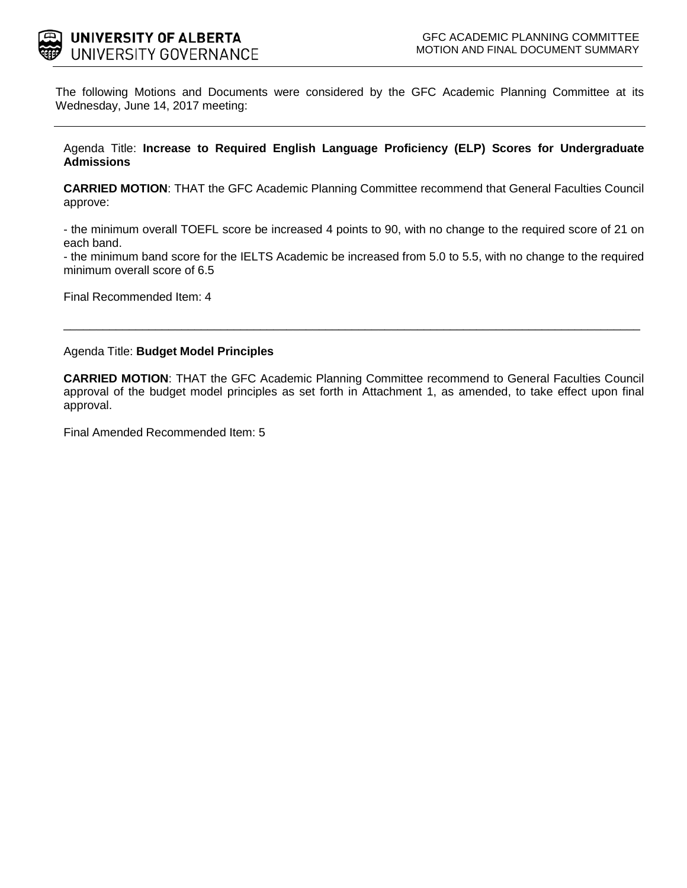

The following Motions and Documents were considered by the GFC Academic Planning Committee at its Wednesday, June 14, 2017 meeting:

Agenda Title: **Increase to Required English Language Proficiency (ELP) Scores for Undergraduate Admissions** 

**CARRIED MOTION**: THAT the GFC Academic Planning Committee recommend that General Faculties Council approve:

- the minimum overall TOEFL score be increased 4 points to 90, with no change to the required score of 21 on each band.

- the minimum band score for the IELTS Academic be increased from 5.0 to 5.5, with no change to the required minimum overall score of 6.5

\_\_\_\_\_\_\_\_\_\_\_\_\_\_\_\_\_\_\_\_\_\_\_\_\_\_\_\_\_\_\_\_\_\_\_\_\_\_\_\_\_\_\_\_\_\_\_\_\_\_\_\_\_\_\_\_\_\_\_\_\_\_\_\_\_\_\_\_\_\_\_\_\_\_\_\_\_\_\_\_\_\_\_\_\_\_\_\_

Final Recommended Item: 4

Agenda Title: **Budget Model Principles** 

**CARRIED MOTION**: THAT the GFC Academic Planning Committee recommend to General Faculties Council approval of the budget model principles as set forth in Attachment 1, as amended, to take effect upon final approval.

Final Amended Recommended Item: 5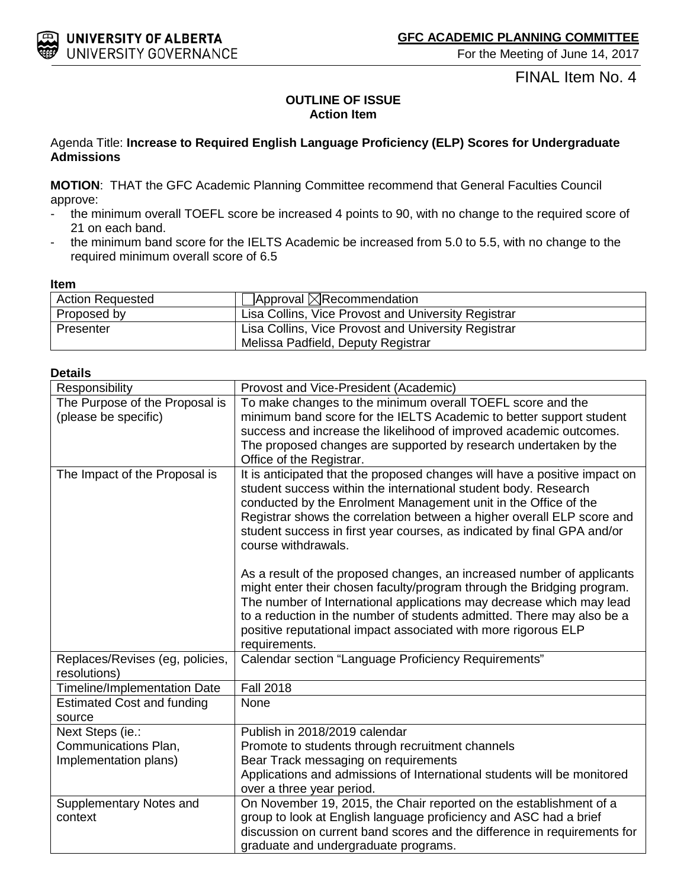## FINAL Item No. 4

## **OUTLINE OF ISSUE Action Item**

## Agenda Title: **Increase to Required English Language Proficiency (ELP) Scores for Undergraduate Admissions**

**MOTION**: THAT the GFC Academic Planning Committee recommend that General Faculties Council approve:

- the minimum overall TOEFL score be increased 4 points to 90, with no change to the required score of 21 on each band.
- the minimum band score for the IELTS Academic be increased from 5.0 to 5.5, with no change to the required minimum overall score of 6.5

#### **Item**

| <b>Action Requested</b> | $\Box$ Approval $\boxtimes$ Recommendation                                                |
|-------------------------|-------------------------------------------------------------------------------------------|
| Proposed by             | Lisa Collins, Vice Provost and University Registrar                                       |
| Presenter               | Lisa Collins, Vice Provost and University Registrar<br>Melissa Padfield, Deputy Registrar |

## **Details**

| Responsibility                                                    | Provost and Vice-President (Academic)                                                                                                                                                                                                                                                                                                                                                        |
|-------------------------------------------------------------------|----------------------------------------------------------------------------------------------------------------------------------------------------------------------------------------------------------------------------------------------------------------------------------------------------------------------------------------------------------------------------------------------|
| The Purpose of the Proposal is<br>(please be specific)            | To make changes to the minimum overall TOEFL score and the<br>minimum band score for the IELTS Academic to better support student<br>success and increase the likelihood of improved academic outcomes.<br>The proposed changes are supported by research undertaken by the<br>Office of the Registrar.                                                                                      |
| The Impact of the Proposal is                                     | It is anticipated that the proposed changes will have a positive impact on<br>student success within the international student body. Research<br>conducted by the Enrolment Management unit in the Office of the<br>Registrar shows the correlation between a higher overall ELP score and<br>student success in first year courses, as indicated by final GPA and/or<br>course withdrawals. |
|                                                                   | As a result of the proposed changes, an increased number of applicants<br>might enter their chosen faculty/program through the Bridging program.<br>The number of International applications may decrease which may lead<br>to a reduction in the number of students admitted. There may also be a<br>positive reputational impact associated with more rigorous ELP<br>requirements.        |
| Replaces/Revises (eg, policies,<br>resolutions)                   | Calendar section "Language Proficiency Requirements"                                                                                                                                                                                                                                                                                                                                         |
| Timeline/Implementation Date                                      | <b>Fall 2018</b>                                                                                                                                                                                                                                                                                                                                                                             |
| <b>Estimated Cost and funding</b><br>source                       | None                                                                                                                                                                                                                                                                                                                                                                                         |
| Next Steps (ie.:<br>Communications Plan,<br>Implementation plans) | Publish in 2018/2019 calendar<br>Promote to students through recruitment channels<br>Bear Track messaging on requirements<br>Applications and admissions of International students will be monitored<br>over a three year period.                                                                                                                                                            |
| Supplementary Notes and<br>context                                | On November 19, 2015, the Chair reported on the establishment of a<br>group to look at English language proficiency and ASC had a brief<br>discussion on current band scores and the difference in requirements for<br>graduate and undergraduate programs.                                                                                                                                  |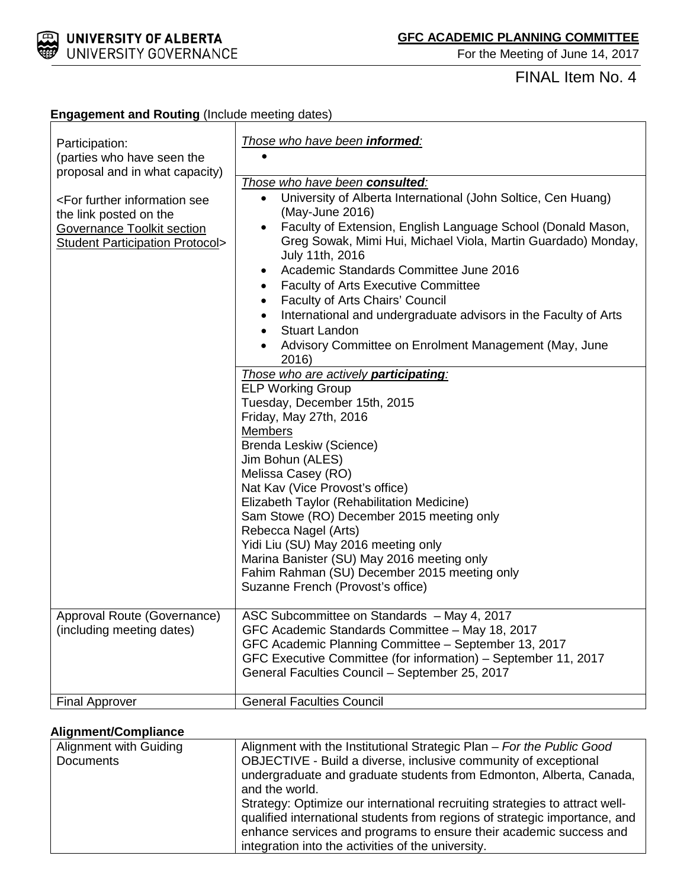

# FINAL Item No. 4

| Participation:<br>(parties who have seen the<br>proposal and in what capacity)<br><for further="" information="" see<br="">the link posted on the<br/><b>Governance Toolkit section</b><br/><b>Student Participation Protocol&gt;</b></for> | Those who have been informed:<br>Those who have been consulted:<br>University of Alberta International (John Soltice, Cen Huang)<br>$\bullet$<br>(May-June 2016)<br>Faculty of Extension, English Language School (Donald Mason,<br>$\bullet$<br>Greg Sowak, Mimi Hui, Michael Viola, Martin Guardado) Monday,<br>July 11th, 2016<br>Academic Standards Committee June 2016<br>٠<br><b>Faculty of Arts Executive Committee</b><br>$\bullet$<br>Faculty of Arts Chairs' Council<br>$\bullet$<br>International and undergraduate advisors in the Faculty of Arts<br><b>Stuart Landon</b><br>Advisory Committee on Enrolment Management (May, June<br>2016)<br>Those who are actively participating:<br><b>ELP Working Group</b><br>Tuesday, December 15th, 2015<br>Friday, May 27th, 2016<br><b>Members</b> |
|---------------------------------------------------------------------------------------------------------------------------------------------------------------------------------------------------------------------------------------------|-----------------------------------------------------------------------------------------------------------------------------------------------------------------------------------------------------------------------------------------------------------------------------------------------------------------------------------------------------------------------------------------------------------------------------------------------------------------------------------------------------------------------------------------------------------------------------------------------------------------------------------------------------------------------------------------------------------------------------------------------------------------------------------------------------------|
|                                                                                                                                                                                                                                             | Brenda Leskiw (Science)<br>Jim Bohun (ALES)<br>Melissa Casey (RO)<br>Nat Kav (Vice Provost's office)<br>Elizabeth Taylor (Rehabilitation Medicine)<br>Sam Stowe (RO) December 2015 meeting only<br>Rebecca Nagel (Arts)<br>Yidi Liu (SU) May 2016 meeting only<br>Marina Banister (SU) May 2016 meeting only<br>Fahim Rahman (SU) December 2015 meeting only<br>Suzanne French (Provost's office)                                                                                                                                                                                                                                                                                                                                                                                                         |
| Approval Route (Governance)<br>(including meeting dates)                                                                                                                                                                                    | ASC Subcommittee on Standards - May 4, 2017<br>GFC Academic Standards Committee - May 18, 2017<br>GFC Academic Planning Committee - September 13, 2017<br>GFC Executive Committee (for information) - September 11, 2017<br>General Faculties Council - September 25, 2017                                                                                                                                                                                                                                                                                                                                                                                                                                                                                                                                |
| <b>Final Approver</b>                                                                                                                                                                                                                       | <b>General Faculties Council</b>                                                                                                                                                                                                                                                                                                                                                                                                                                                                                                                                                                                                                                                                                                                                                                          |

## **Engagement and Routing** (Include meeting dates)

## **Alignment/Compliance**

| Alignment with Guiding | Alignment with the Institutional Strategic Plan - For the Public Good                                                                                                                                                                                                                                                                                                                       |
|------------------------|---------------------------------------------------------------------------------------------------------------------------------------------------------------------------------------------------------------------------------------------------------------------------------------------------------------------------------------------------------------------------------------------|
| <b>Documents</b>       | OBJECTIVE - Build a diverse, inclusive community of exceptional<br>undergraduate and graduate students from Edmonton, Alberta, Canada,<br>and the world.<br>Strategy: Optimize our international recruiting strategies to attract well-<br>qualified international students from regions of strategic importance, and<br>enhance services and programs to ensure their academic success and |
|                        | integration into the activities of the university.                                                                                                                                                                                                                                                                                                                                          |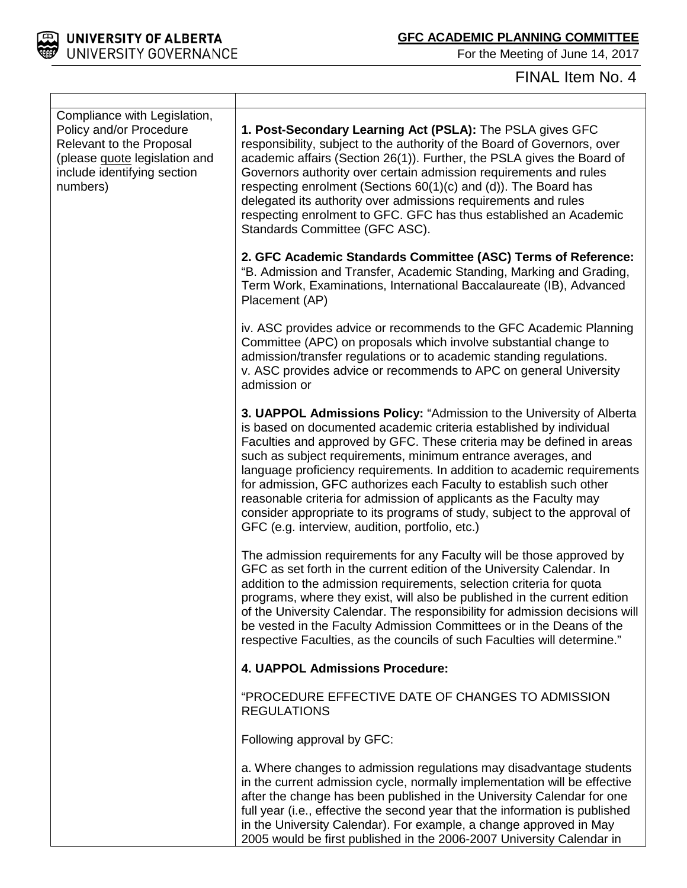

For the Meeting of June 14, 2017

# FINAL Item No. 4

| Compliance with Legislation,<br>Policy and/or Procedure<br>Relevant to the Proposal<br>(please quote legislation and<br>include identifying section<br>numbers) | 1. Post-Secondary Learning Act (PSLA): The PSLA gives GFC<br>responsibility, subject to the authority of the Board of Governors, over<br>academic affairs (Section 26(1)). Further, the PSLA gives the Board of<br>Governors authority over certain admission requirements and rules<br>respecting enrolment (Sections 60(1)(c) and (d)). The Board has<br>delegated its authority over admissions requirements and rules<br>respecting enrolment to GFC. GFC has thus established an Academic<br>Standards Committee (GFC ASC).                                                                                                           |
|-----------------------------------------------------------------------------------------------------------------------------------------------------------------|--------------------------------------------------------------------------------------------------------------------------------------------------------------------------------------------------------------------------------------------------------------------------------------------------------------------------------------------------------------------------------------------------------------------------------------------------------------------------------------------------------------------------------------------------------------------------------------------------------------------------------------------|
|                                                                                                                                                                 | 2. GFC Academic Standards Committee (ASC) Terms of Reference:<br>"B. Admission and Transfer, Academic Standing, Marking and Grading,<br>Term Work, Examinations, International Baccalaureate (IB), Advanced<br>Placement (AP)                                                                                                                                                                                                                                                                                                                                                                                                              |
|                                                                                                                                                                 | iv. ASC provides advice or recommends to the GFC Academic Planning<br>Committee (APC) on proposals which involve substantial change to<br>admission/transfer regulations or to academic standing regulations.<br>v. ASC provides advice or recommends to APC on general University<br>admission or                                                                                                                                                                                                                                                                                                                                         |
|                                                                                                                                                                 | 3. UAPPOL Admissions Policy: "Admission to the University of Alberta<br>is based on documented academic criteria established by individual<br>Faculties and approved by GFC. These criteria may be defined in areas<br>such as subject requirements, minimum entrance averages, and<br>language proficiency requirements. In addition to academic requirements<br>for admission, GFC authorizes each Faculty to establish such other<br>reasonable criteria for admission of applicants as the Faculty may<br>consider appropriate to its programs of study, subject to the approval of<br>GFC (e.g. interview, audition, portfolio, etc.) |
|                                                                                                                                                                 | The admission requirements for any Faculty will be those approved by<br>GFC as set forth in the current edition of the University Calendar. In<br>addition to the admission requirements, selection criteria for quota<br>programs, where they exist, will also be published in the current edition<br>of the University Calendar. The responsibility for admission decisions will<br>be vested in the Faculty Admission Committees or in the Deans of the<br>respective Faculties, as the councils of such Faculties will determine."                                                                                                     |
|                                                                                                                                                                 | 4. UAPPOL Admissions Procedure:                                                                                                                                                                                                                                                                                                                                                                                                                                                                                                                                                                                                            |
|                                                                                                                                                                 | "PROCEDURE EFFECTIVE DATE OF CHANGES TO ADMISSION<br><b>REGULATIONS</b>                                                                                                                                                                                                                                                                                                                                                                                                                                                                                                                                                                    |
|                                                                                                                                                                 | Following approval by GFC:                                                                                                                                                                                                                                                                                                                                                                                                                                                                                                                                                                                                                 |
|                                                                                                                                                                 | a. Where changes to admission regulations may disadvantage students<br>in the current admission cycle, normally implementation will be effective<br>after the change has been published in the University Calendar for one<br>full year (i.e., effective the second year that the information is published<br>in the University Calendar). For example, a change approved in May<br>2005 would be first published in the 2006-2007 University Calendar in                                                                                                                                                                                  |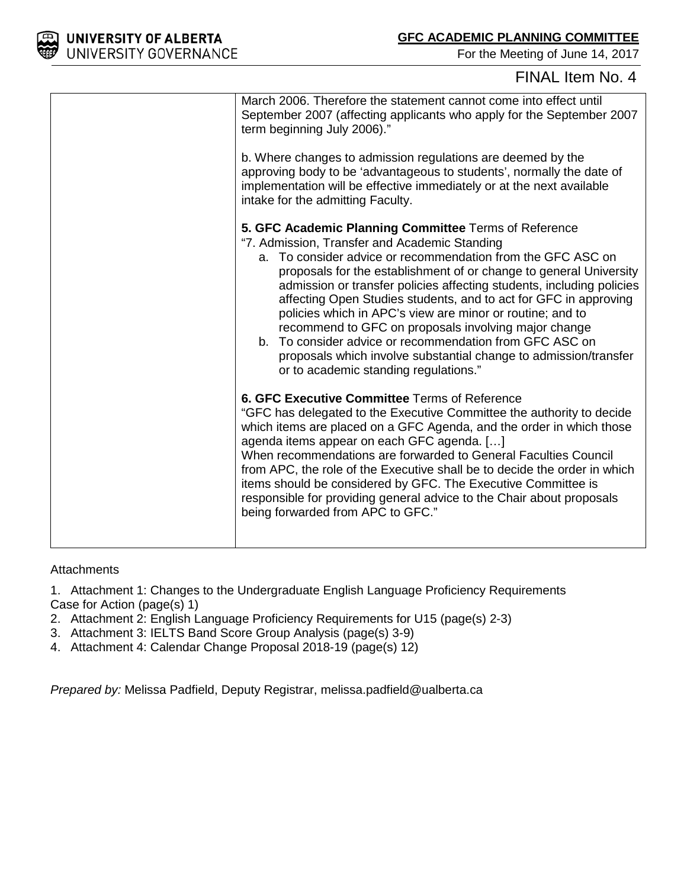

## FINAL Item No. 4

| March 2006. Therefore the statement cannot come into effect until<br>September 2007 (affecting applicants who apply for the September 2007<br>term beginning July 2006)."                                                                                                                                                                                                                                                                                                                                                                                                                                                                                                             |
|---------------------------------------------------------------------------------------------------------------------------------------------------------------------------------------------------------------------------------------------------------------------------------------------------------------------------------------------------------------------------------------------------------------------------------------------------------------------------------------------------------------------------------------------------------------------------------------------------------------------------------------------------------------------------------------|
| b. Where changes to admission regulations are deemed by the<br>approving body to be 'advantageous to students', normally the date of<br>implementation will be effective immediately or at the next available<br>intake for the admitting Faculty.                                                                                                                                                                                                                                                                                                                                                                                                                                    |
| 5. GFC Academic Planning Committee Terms of Reference<br>"7. Admission, Transfer and Academic Standing<br>a. To consider advice or recommendation from the GFC ASC on<br>proposals for the establishment of or change to general University<br>admission or transfer policies affecting students, including policies<br>affecting Open Studies students, and to act for GFC in approving<br>policies which in APC's view are minor or routine; and to<br>recommend to GFC on proposals involving major change<br>b. To consider advice or recommendation from GFC ASC on<br>proposals which involve substantial change to admission/transfer<br>or to academic standing regulations." |
| 6. GFC Executive Committee Terms of Reference<br>"GFC has delegated to the Executive Committee the authority to decide<br>which items are placed on a GFC Agenda, and the order in which those<br>agenda items appear on each GFC agenda. []<br>When recommendations are forwarded to General Faculties Council<br>from APC, the role of the Executive shall be to decide the order in which<br>items should be considered by GFC. The Executive Committee is<br>responsible for providing general advice to the Chair about proposals<br>being forwarded from APC to GFC."                                                                                                           |

## **Attachments**

1. Attachment 1: Changes to the Undergraduate English Language Proficiency Requirements Case for Action (page(s) 1)

- 2. Attachment 2: English Language Proficiency Requirements for U15 (page(s) 2-3)
- 3. Attachment 3: IELTS Band Score Group Analysis (page(s) 3-9)
- 4. Attachment 4: Calendar Change Proposal 2018-19 (page(s) 12)

*Prepared by:* Melissa Padfield, Deputy Registrar, melissa.padfield@ualberta.ca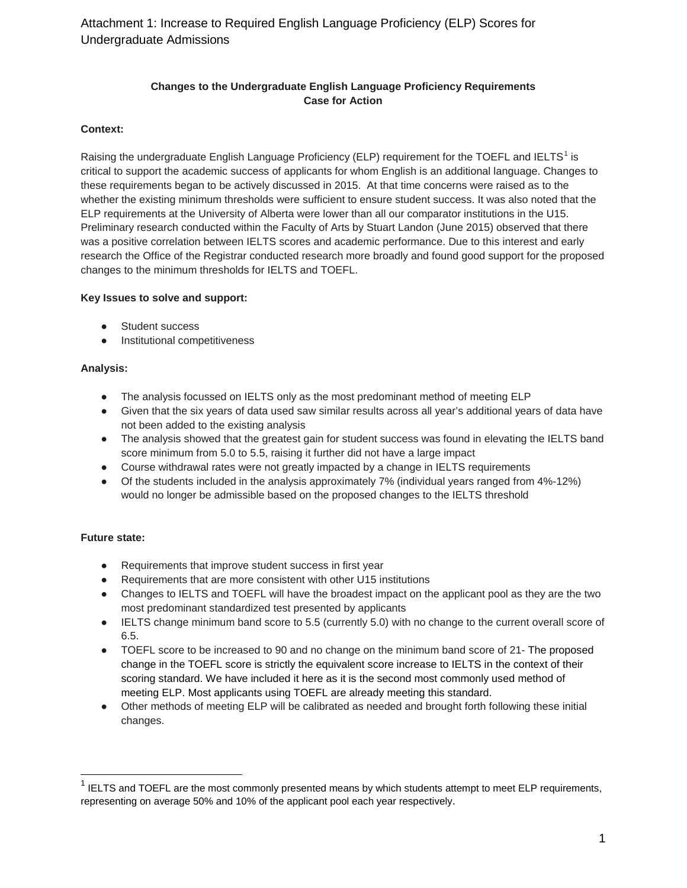#### **Changes to the Undergraduate English Language Proficiency Requirements Case for Action**

#### **Context:**

Raising the undergraduate English Language Proficiency (ELP) requirement for the TOEFL and IELTS<sup>[1](#page-5-0)</sup> is critical to support the academic success of applicants for whom English is an additional language. Changes to these requirements began to be actively discussed in 2015. At that time concerns were raised as to the whether the existing minimum thresholds were sufficient to ensure student success. It was also noted that the ELP requirements at the University of Alberta were lower than all our comparator institutions in the U15. Preliminary research conducted within the Faculty of Arts by Stuart Landon (June 2015) observed that there was a positive correlation between IELTS scores and academic performance. Due to this interest and early research the Office of the Registrar conducted research more broadly and found good support for the proposed changes to the minimum thresholds for IELTS and TOEFL.

#### **Key Issues to solve and support:**

- Student success
- Institutional competitiveness

#### **Analysis:**

- The analysis focussed on IELTS only as the most predominant method of meeting ELP
- Given that the six years of data used saw similar results across all year's additional years of data have not been added to the existing analysis
- The analysis showed that the greatest gain for student success was found in elevating the IELTS band score minimum from 5.0 to 5.5, raising it further did not have a large impact
- Course withdrawal rates were not greatly impacted by a change in IELTS requirements
- Of the students included in the analysis approximately 7% (individual years ranged from 4%-12%) would no longer be admissible based on the proposed changes to the IELTS threshold

#### **Future state:**

- Requirements that improve student success in first year
- Requirements that are more consistent with other U15 institutions
- Changes to IELTS and TOEFL will have the broadest impact on the applicant pool as they are the two most predominant standardized test presented by applicants
- IELTS change minimum band score to 5.5 (currently 5.0) with no change to the current overall score of 6.5.
- TOEFL score to be increased to 90 and no change on the minimum band score of 21- The proposed change in the TOEFL score is strictly the equivalent score increase to IELTS in the context of their scoring standard. We have included it here as it is the second most commonly used method of meeting ELP. Most applicants using TOEFL are already meeting this standard.
- Other methods of meeting ELP will be calibrated as needed and brought forth following these initial changes.

<span id="page-5-0"></span> $1$  IELTS and TOEFL are the most commonly presented means by which students attempt to meet ELP requirements, representing on average 50% and 10% of the applicant pool each year respectively.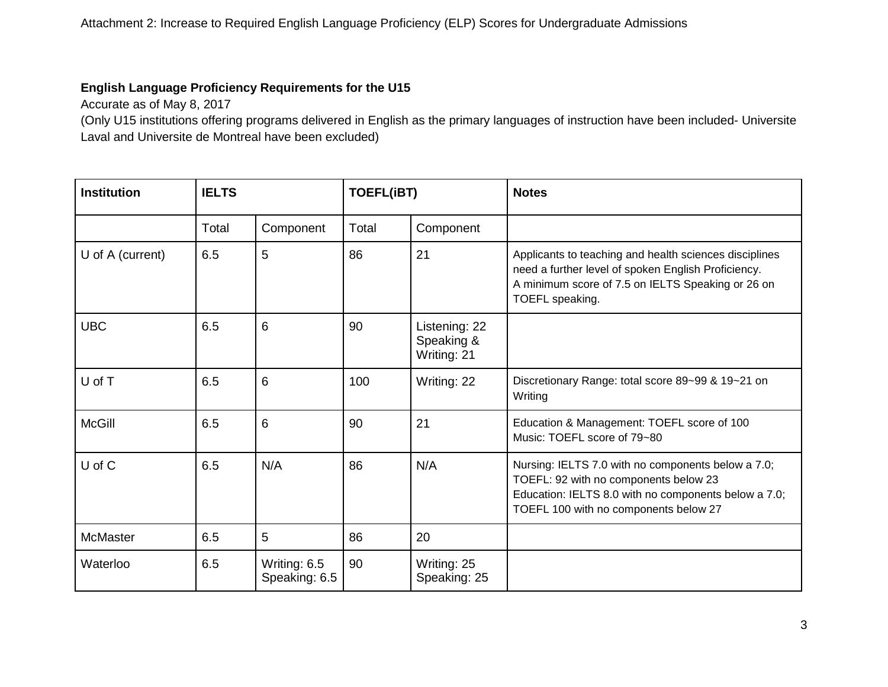## **English Language Proficiency Requirements for the U15**

Accurate as of May 8, 2017

(Only U15 institutions offering programs delivered in English as the primary languages of instruction have been included- Universite Laval and Universite de Montreal have been excluded)

| <b>Institution</b> | <b>IELTS</b> |                               | <b>TOEFL(iBT)</b> |                                            | <b>Notes</b>                                                                                                                                                                                 |
|--------------------|--------------|-------------------------------|-------------------|--------------------------------------------|----------------------------------------------------------------------------------------------------------------------------------------------------------------------------------------------|
|                    | Total        | Component                     | Total             | Component                                  |                                                                                                                                                                                              |
| U of A (current)   | 6.5          | 5                             | 86                | 21                                         | Applicants to teaching and health sciences disciplines<br>need a further level of spoken English Proficiency.<br>A minimum score of 7.5 on IELTS Speaking or 26 on<br>TOEFL speaking.        |
| <b>UBC</b>         | 6.5          | 6                             | 90                | Listening: 22<br>Speaking &<br>Writing: 21 |                                                                                                                                                                                              |
| U of T             | 6.5          | 6                             | 100               | Writing: 22                                | Discretionary Range: total score 89~99 & 19~21 on<br>Writing                                                                                                                                 |
| <b>McGill</b>      | 6.5          | 6                             | 90                | 21                                         | Education & Management: TOEFL score of 100<br>Music: TOEFL score of 79~80                                                                                                                    |
| U of C             | 6.5          | N/A                           | 86                | N/A                                        | Nursing: IELTS 7.0 with no components below a 7.0;<br>TOEFL: 92 with no components below 23<br>Education: IELTS 8.0 with no components below a 7.0;<br>TOEFL 100 with no components below 27 |
| <b>McMaster</b>    | 6.5          | 5                             | 86                | 20                                         |                                                                                                                                                                                              |
| Waterloo           | 6.5          | Writing: 6.5<br>Speaking: 6.5 | 90                | Writing: 25<br>Speaking: 25                |                                                                                                                                                                                              |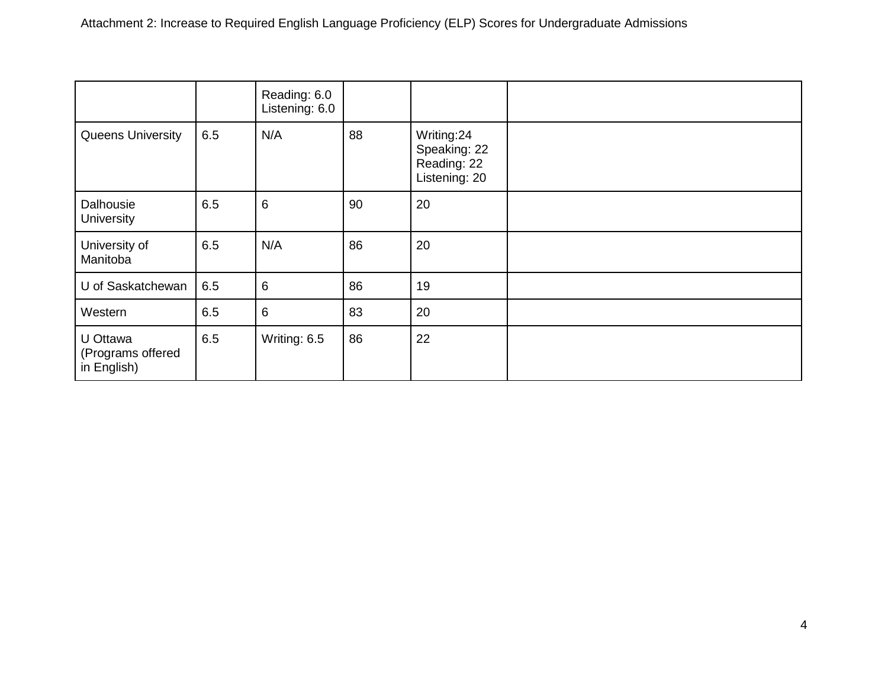|                                              |     | Reading: 6.0<br>Listening: 6.0 |    |                                                            |  |
|----------------------------------------------|-----|--------------------------------|----|------------------------------------------------------------|--|
| <b>Queens University</b>                     | 6.5 | N/A                            | 88 | Writing:24<br>Speaking: 22<br>Reading: 22<br>Listening: 20 |  |
| Dalhousie<br>University                      | 6.5 | 6                              | 90 | 20                                                         |  |
| University of<br>Manitoba                    | 6.5 | N/A                            | 86 | 20                                                         |  |
| U of Saskatchewan                            | 6.5 | 6                              | 86 | 19                                                         |  |
| Western                                      | 6.5 | 6                              | 83 | 20                                                         |  |
| U Ottawa<br>(Programs offered<br>in English) | 6.5 | Writing: 6.5                   | 86 | 22                                                         |  |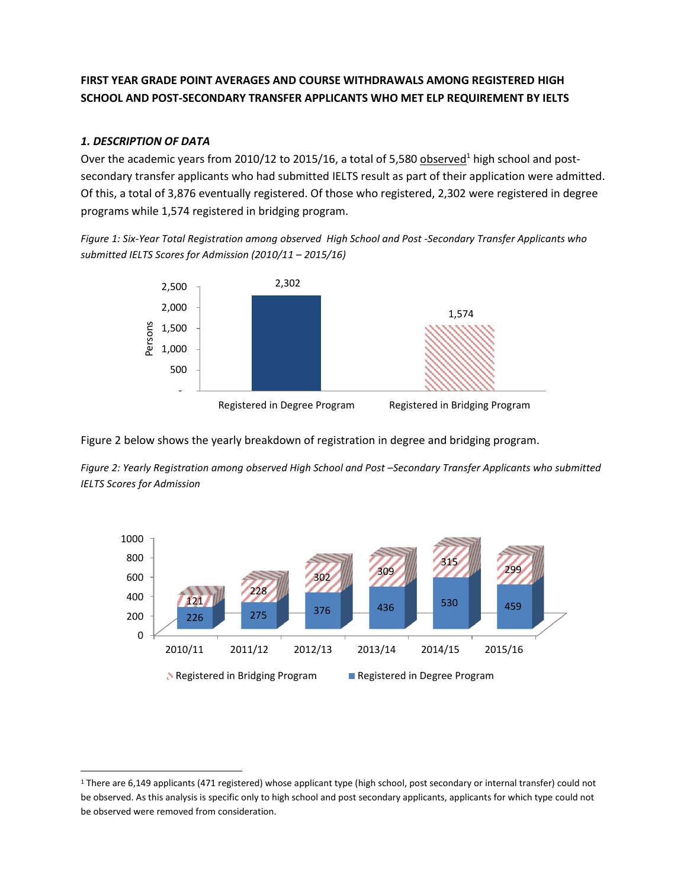## **FIRST YEAR GRADE POINT AVERAGES AND COURSE WITHDRAWALS AMONG REGISTERED HIGH SCHOOL AND POST-SECONDARY TRANSFER APPLICANTS WHO MET ELP REQUIREMENT BY IELTS**

#### *1. DESCRIPTION OF DATA*

l

Over the academic years from 2010/12 to 2015/16, a total of 5,580 observed<sup>1</sup> high school and postsecondary transfer applicants who had submitted IELTS result as part of their application were admitted. Of this, a total of 3,876 eventually registered. Of those who registered, 2,302 were registered in degree programs while 1,574 registered in bridging program.

*Figure 1: Six-Year Total Registration among observed High School and Post -Secondary Transfer Applicants who submitted IELTS Scores for Admission (2010/11 – 2015/16)*



Figure 2 below shows the yearly breakdown of registration in degree and bridging program.

*Figure 2: Yearly Registration among observed High School and Post –Secondary Transfer Applicants who submitted IELTS Scores for Admission* 



<sup>1</sup> There are 6,149 applicants (471 registered) whose applicant type (high school, post secondary or internal transfer) could not be observed. As this analysis is specific only to high school and post secondary applicants, applicants for which type could not be observed were removed from consideration.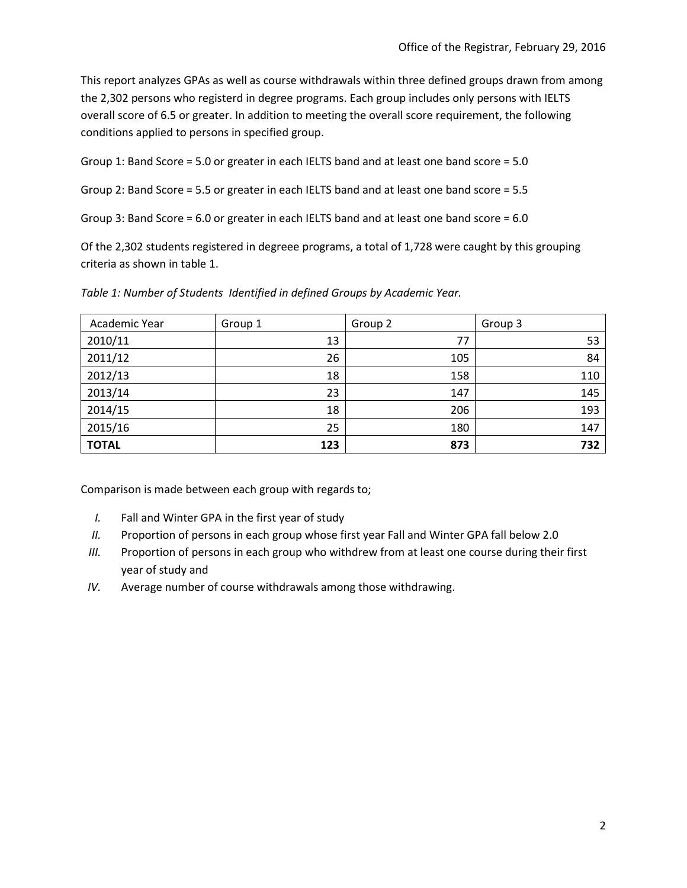This report analyzes GPAs as well as course withdrawals within three defined groups drawn from among the 2,302 persons who registerd in degree programs. Each group includes only persons with IELTS overall score of 6.5 or greater. In addition to meeting the overall score requirement, the following conditions applied to persons in specified group.

Group 1: Band Score = 5.0 or greater in each IELTS band and at least one band score = 5.0

Group 2: Band Score = 5.5 or greater in each IELTS band and at least one band score = 5.5

Group 3: Band Score = 6.0 or greater in each IELTS band and at least one band score = 6.0

Of the 2,302 students registered in degreee programs, a total of 1,728 were caught by this grouping criteria as shown in table 1.

| Academic Year | Group 1 | Group 2 | Group 3 |
|---------------|---------|---------|---------|
| 2010/11       | 13      | 77      | 53      |
| 2011/12       | 26      | 105     | 84      |
| 2012/13       | 18      | 158     | 110     |
| 2013/14       | 23      | 147     | 145     |
| 2014/15       | 18      | 206     | 193     |
| 2015/16       | 25      | 180     | 147     |
| <b>TOTAL</b>  | 123     | 873     | 732     |

*Table 1: Number of Students Identified in defined Groups by Academic Year.* 

Comparison is made between each group with regards to;

- *I.* Fall and Winter GPA in the first year of study
- *II.* Proportion of persons in each group whose first year Fall and Winter GPA fall below 2.0
- *III.* Proportion of persons in each group who withdrew from at least one course during their first year of study and
- *IV.* Average number of course withdrawals among those withdrawing.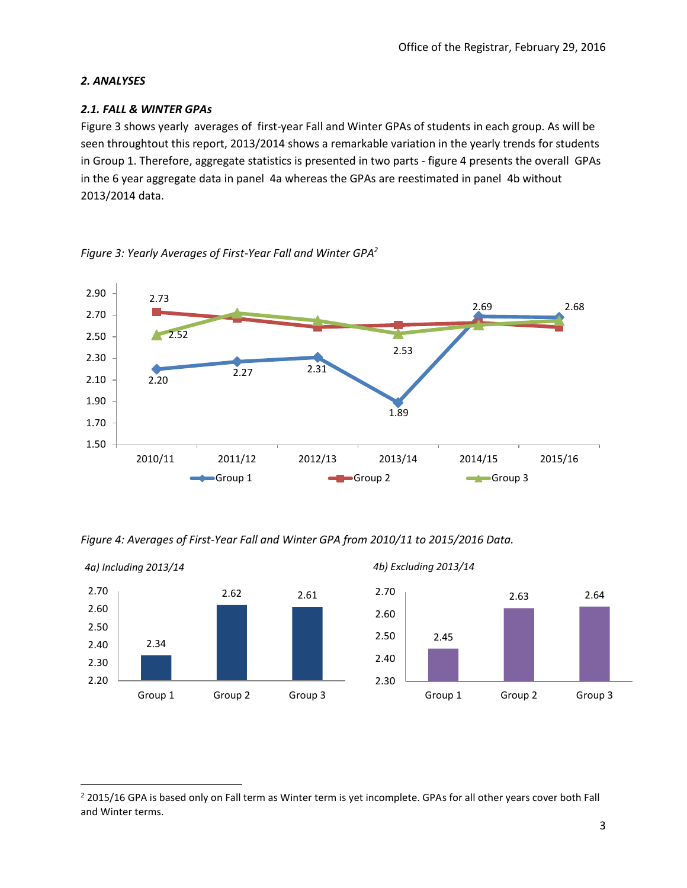## *2. ANALYSES*

 $\overline{\phantom{a}}$ 

## *2.1. FALL & WINTER GPAs*

Figure 3 shows yearly averages of first-year Fall and Winter GPAs of students in each group. As will be seen throughtout this report, 2013/2014 shows a remarkable variation in the yearly trends for students in Group 1. Therefore, aggregate statistics is presented in two parts - figure 4 presents the overall GPAs in the 6 year aggregate data in panel 4a whereas the GPAs are reestimated in panel 4b without 2013/2014 data.

*Figure 3: Yearly Averages of First-Year Fall and Winter GPA<sup>2</sup>*



*Figure 4: Averages of First-Year Fall and Winter GPA from 2010/11 to 2015/2016 Data.* 



<sup>&</sup>lt;sup>2</sup> 2015/16 GPA is based only on Fall term as Winter term is yet incomplete. GPAs for all other years cover both Fall and Winter terms.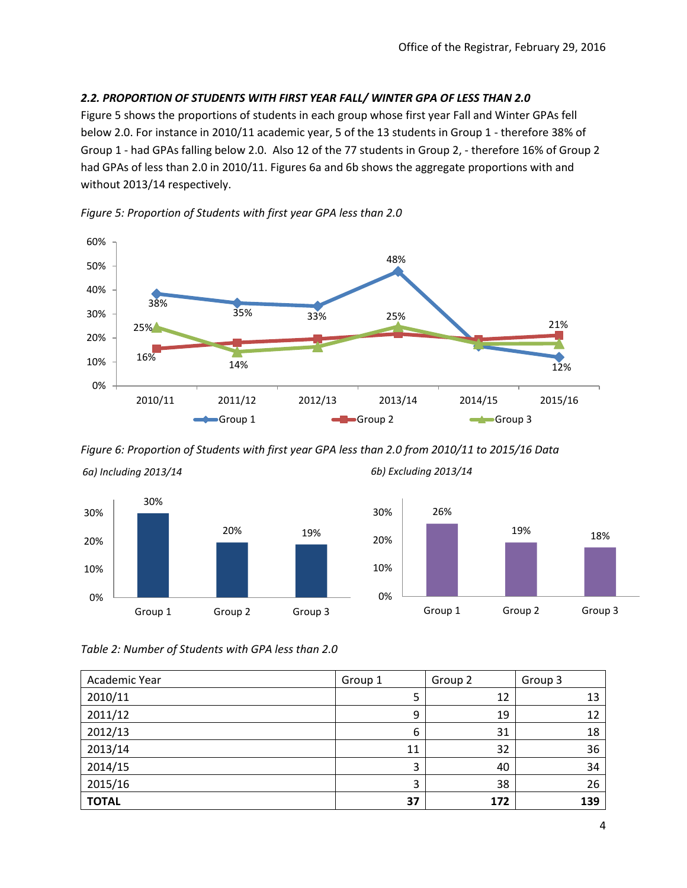## *2.2. PROPORTION OF STUDENTS WITH FIRST YEAR FALL/ WINTER GPA OF LESS THAN 2.0*

Figure 5 shows the proportions of students in each group whose first year Fall and Winter GPAs fell below 2.0. For instance in 2010/11 academic year, 5 of the 13 students in Group 1 - therefore 38% of Group 1 - had GPAs falling below 2.0. Also 12 of the 77 students in Group 2, - therefore 16% of Group 2 had GPAs of less than 2.0 in 2010/11. Figures 6a and 6b shows the aggregate proportions with and without 2013/14 respectively.



*Figure 5: Proportion of Students with first year GPA less than 2.0*

*Figure 6: Proportion of Students with first year GPA less than 2.0 from 2010/11 to 2015/16 Data*



*6a) Including 2013/14*

*6b) Excluding 2013/14*



*Table 2: Number of Students with GPA less than 2.0*

| Academic Year | Group 1 | Group 2 | Group 3 |
|---------------|---------|---------|---------|
| 2010/11       | 5       | 12      | 13      |
| 2011/12       | 9       | 19      | 12      |
| 2012/13       | 6       | 31      | 18      |
| 2013/14       | 11      | 32      | 36      |
| 2014/15       |         | 40      | 34      |
| 2015/16       | 3       | 38      | 26      |
| <b>TOTAL</b>  | 37      | 172     | 139     |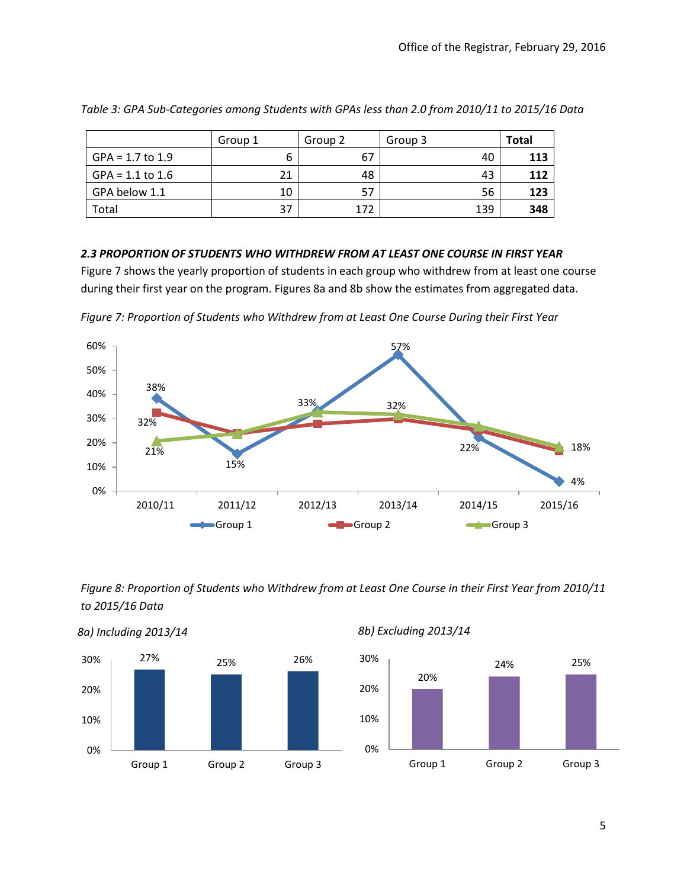|                    | Group 1 | Group 2 | Group 3 | <b>Total</b> |
|--------------------|---------|---------|---------|--------------|
| $GPA = 1.7$ to 1.9 | b       | 67      | 40      | 113          |
| $GPA = 1.1$ to 1.6 | 21      | 48      | 43      | 112          |
| GPA below 1.1      | 10      | -57     | 56      | 123          |
| Total              | 37      | 172     | 139     | 348          |

*Table 3: GPA Sub-Categories among Students with GPAs less than 2.0 from 2010/11 to 2015/16 Data* 

## *2.3 PROPORTION OF STUDENTS WHO WITHDREW FROM AT LEAST ONE COURSE IN FIRST YEAR*

Figure 7 shows the yearly proportion of students in each group who withdrew from at least one course during their first year on the program. Figures 8a and 8b show the estimates from aggregated data.





*Figure 8: Proportion of Students who Withdrew from at Least One Course in their First Year from 2010/11 to 2015/16 Data*



*8b) Excluding 2013/14*

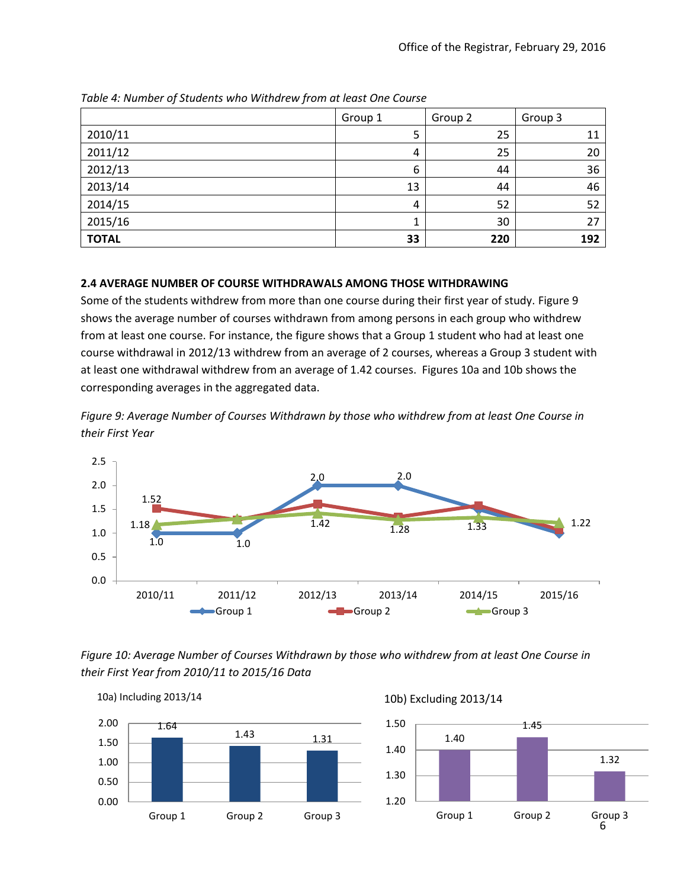|              | Group 1 | Group 2 | Group 3 |
|--------------|---------|---------|---------|
| 2010/11      | 5       | 25      | 11      |
| 2011/12      | 4       | 25      | 20      |
| 2012/13      | 6       | 44      | 36      |
| 2013/14      | 13      | 44      | 46      |
| 2014/15      | 4       | 52      | 52      |
| 2015/16      |         | 30      | 27      |
| <b>TOTAL</b> | 33      | 220     | 192     |

*Table 4: Number of Students who Withdrew from at least One Course*

## **2.4 AVERAGE NUMBER OF COURSE WITHDRAWALS AMONG THOSE WITHDRAWING**

Some of the students withdrew from more than one course during their first year of study. Figure 9 shows the average number of courses withdrawn from among persons in each group who withdrew from at least one course. For instance, the figure shows that a Group 1 student who had at least one course withdrawal in 2012/13 withdrew from an average of 2 courses, whereas a Group 3 student with at least one withdrawal withdrew from an average of 1.42 courses. Figures 10a and 10b shows the corresponding averages in the aggregated data.

*Figure 9: Average Number of Courses Withdrawn by those who withdrew from at least One Course in their First Year*



*Figure 10: Average Number of Courses Withdrawn by those who withdrew from at least One Course in their First Year from 2010/11 to 2015/16 Data*

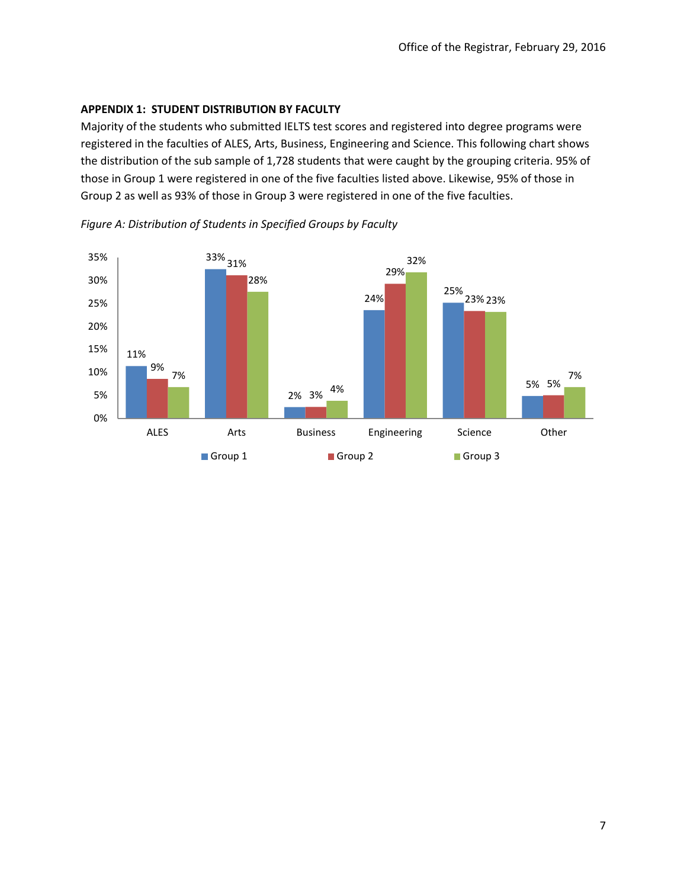#### **APPENDIX 1: STUDENT DISTRIBUTION BY FACULTY**

Majority of the students who submitted IELTS test scores and registered into degree programs were registered in the faculties of ALES, Arts, Business, Engineering and Science. This following chart shows the distribution of the sub sample of 1,728 students that were caught by the grouping criteria. 95% of those in Group 1 were registered in one of the five faculties listed above. Likewise, 95% of those in Group 2 as well as 93% of those in Group 3 were registered in one of the five faculties.



*Figure A: Distribution of Students in Specified Groups by Faculty*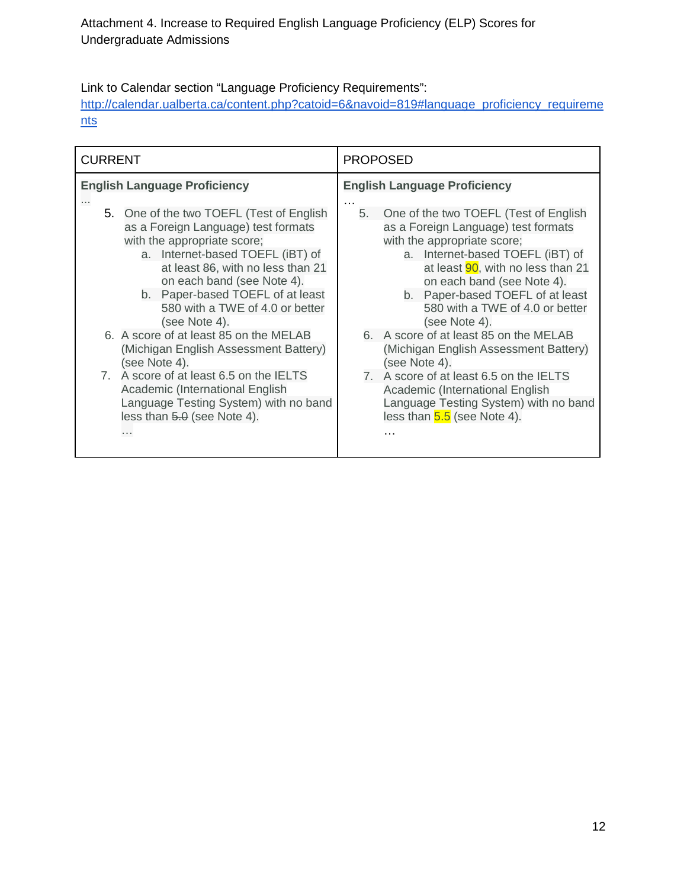Attachment 4. Increase to Required English Language Proficiency (ELP) Scores for Undergraduate Admissions

Link to Calendar section "Language Proficiency Requirements":

[http://calendar.ualberta.ca/content.php?catoid=6&navoid=819#language\\_proficiency\\_requireme](http://calendar.ualberta.ca/content.php?catoid=6&navoid=819#language_proficiency_requirements) [nts](http://calendar.ualberta.ca/content.php?catoid=6&navoid=819#language_proficiency_requirements)

| <b>CURRENT</b>                      |                                                                                                                                                                                                                                                                                                                                                                                                                                                                                                                                                                              | <b>PROPOSED</b>                                                                                                                                                                                                                                                                                                                                                                                                                                                                                                                                                              |
|-------------------------------------|------------------------------------------------------------------------------------------------------------------------------------------------------------------------------------------------------------------------------------------------------------------------------------------------------------------------------------------------------------------------------------------------------------------------------------------------------------------------------------------------------------------------------------------------------------------------------|------------------------------------------------------------------------------------------------------------------------------------------------------------------------------------------------------------------------------------------------------------------------------------------------------------------------------------------------------------------------------------------------------------------------------------------------------------------------------------------------------------------------------------------------------------------------------|
| <b>English Language Proficiency</b> |                                                                                                                                                                                                                                                                                                                                                                                                                                                                                                                                                                              | <b>English Language Proficiency</b>                                                                                                                                                                                                                                                                                                                                                                                                                                                                                                                                          |
|                                     | 5. One of the two TOEFL (Test of English<br>as a Foreign Language) test formats<br>with the appropriate score;<br>a. Internet-based TOEFL (iBT) of<br>at least 86, with no less than 21<br>on each band (see Note 4).<br>b. Paper-based TOEFL of at least<br>580 with a TWE of 4.0 or better<br>(see Note 4).<br>6. A score of at least 85 on the MELAB<br>(Michigan English Assessment Battery)<br>(see Note 4).<br>7. A score of at least 6.5 on the IELTS<br>Academic (International English<br>Language Testing System) with no band<br>less than 5.0 (see Note 4).<br>. | 5.<br>One of the two TOEFL (Test of English<br>as a Foreign Language) test formats<br>with the appropriate score;<br>a. Internet-based TOEFL (iBT) of<br>at least 90, with no less than 21<br>on each band (see Note 4).<br>b. Paper-based TOEFL of at least<br>580 with a TWE of 4.0 or better<br>(see Note 4).<br>6. A score of at least 85 on the MELAB<br>(Michigan English Assessment Battery)<br>(see Note 4).<br>7. A score of at least 6.5 on the IELTS<br>Academic (International English<br>Language Testing System) with no band<br>less than $5.5$ (see Note 4). |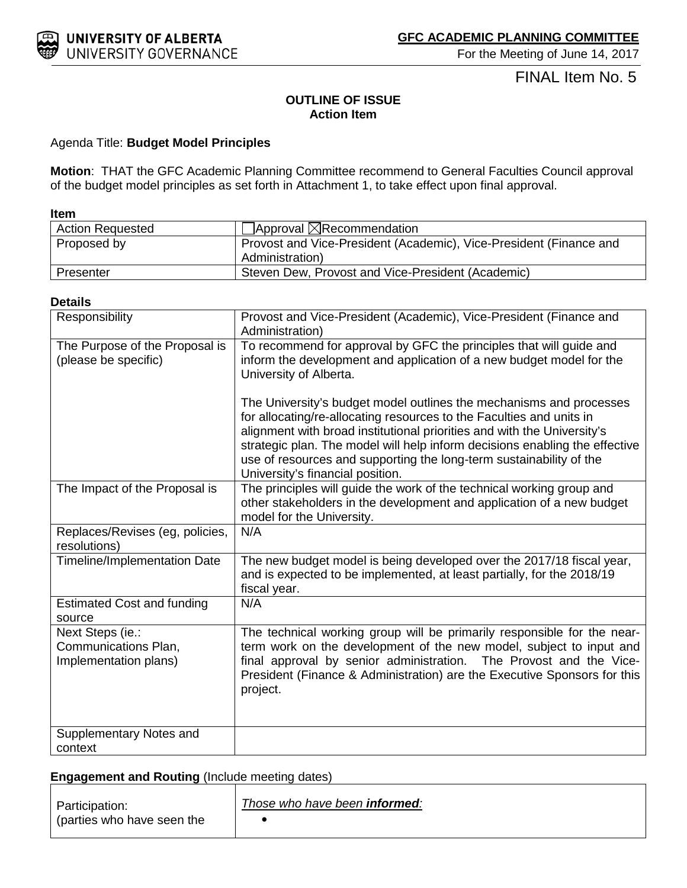

FINAL Item No. 5

## **OUTLINE OF ISSUE Action Item**

#### Agenda Title: **Budget Model Principles**

**Motion**: THAT the GFC Academic Planning Committee recommend to General Faculties Council approval of the budget model principles as set forth in Attachment 1, to take effect upon final approval.

#### **Item**

| <b>Action Requested</b> | $\Box$ Approval $\boxtimes$ Recommendation                                            |
|-------------------------|---------------------------------------------------------------------------------------|
| Proposed by             | Provost and Vice-President (Academic), Vice-President (Finance and<br>Administration) |
| Presenter               | Steven Dew, Provost and Vice-President (Academic)                                     |

#### **Details**

| Responsibility                                                    | Provost and Vice-President (Academic), Vice-President (Finance and<br>Administration)                                                                                                                                                                                                                                                                                                                            |
|-------------------------------------------------------------------|------------------------------------------------------------------------------------------------------------------------------------------------------------------------------------------------------------------------------------------------------------------------------------------------------------------------------------------------------------------------------------------------------------------|
| The Purpose of the Proposal is<br>(please be specific)            | To recommend for approval by GFC the principles that will guide and<br>inform the development and application of a new budget model for the<br>University of Alberta.                                                                                                                                                                                                                                            |
|                                                                   | The University's budget model outlines the mechanisms and processes<br>for allocating/re-allocating resources to the Faculties and units in<br>alignment with broad institutional priorities and with the University's<br>strategic plan. The model will help inform decisions enabling the effective<br>use of resources and supporting the long-term sustainability of the<br>University's financial position. |
| The Impact of the Proposal is                                     | The principles will guide the work of the technical working group and<br>other stakeholders in the development and application of a new budget<br>model for the University.                                                                                                                                                                                                                                      |
| Replaces/Revises (eg, policies,<br>resolutions)                   | N/A                                                                                                                                                                                                                                                                                                                                                                                                              |
| Timeline/Implementation Date                                      | The new budget model is being developed over the 2017/18 fiscal year,<br>and is expected to be implemented, at least partially, for the 2018/19<br>fiscal year.                                                                                                                                                                                                                                                  |
| <b>Estimated Cost and funding</b><br>source                       | N/A                                                                                                                                                                                                                                                                                                                                                                                                              |
| Next Steps (ie.:<br>Communications Plan,<br>Implementation plans) | The technical working group will be primarily responsible for the near-<br>term work on the development of the new model, subject to input and<br>final approval by senior administration. The Provost and the Vice-<br>President (Finance & Administration) are the Executive Sponsors for this<br>project.                                                                                                     |
| Supplementary Notes and<br>context                                |                                                                                                                                                                                                                                                                                                                                                                                                                  |

## **Engagement and Routing** (Include meeting dates)

| Participation:<br>parties who have seen the | Those who have been <b>informed</b> : |
|---------------------------------------------|---------------------------------------|
|---------------------------------------------|---------------------------------------|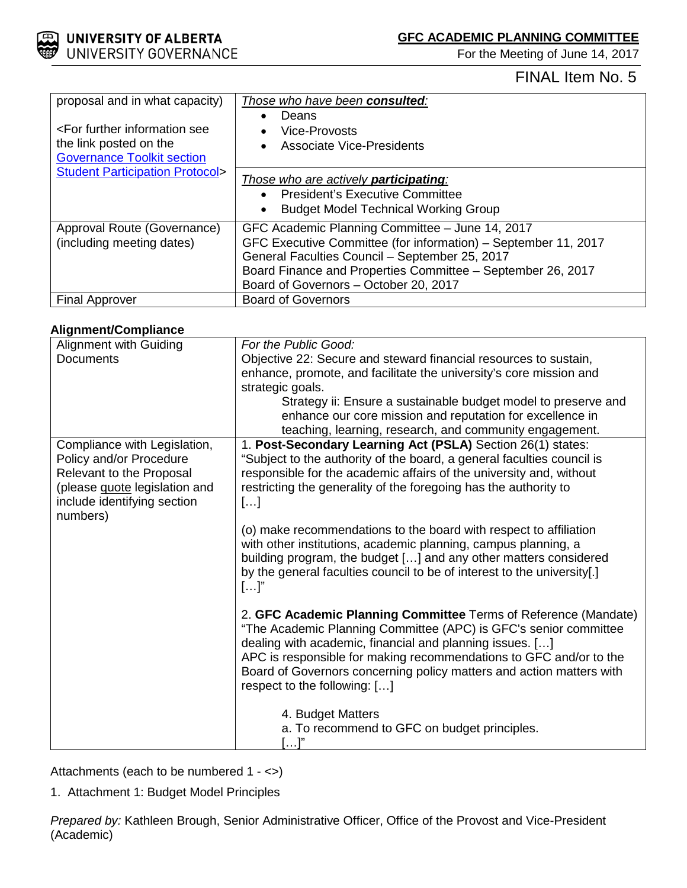**GFC ACADEMIC PLANNING COMMITTEE**

For the Meeting of June 14, 2017



# FINAL Item No. 5

| proposal and in what capacity)<br><for further="" information="" see<br="">the link posted on the<br/><b>Governance Toolkit section</b></for> | Those who have been consulted:<br>Deans<br><b>Vice-Provosts</b><br><b>Associate Vice-Presidents</b>                                                                                                                                                                         |
|-----------------------------------------------------------------------------------------------------------------------------------------------|-----------------------------------------------------------------------------------------------------------------------------------------------------------------------------------------------------------------------------------------------------------------------------|
| <b>Student Participation Protocol&gt;</b>                                                                                                     | Those who are actively <b>participating</b> :<br><b>President's Executive Committee</b><br><b>Budget Model Technical Working Group</b><br>$\bullet$                                                                                                                         |
| Approval Route (Governance)<br>(including meeting dates)                                                                                      | GFC Academic Planning Committee - June 14, 2017<br>GFC Executive Committee (for information) – September 11, 2017<br>General Faculties Council - September 25, 2017<br>Board Finance and Properties Committee - September 26, 2017<br>Board of Governors - October 20, 2017 |
| <b>Final Approver</b>                                                                                                                         | <b>Board of Governors</b>                                                                                                                                                                                                                                                   |

## **Alignment/Compliance**

| Alignment with Guiding               | For the Public Good:                                                    |
|--------------------------------------|-------------------------------------------------------------------------|
| <b>Documents</b>                     | Objective 22: Secure and steward financial resources to sustain,        |
|                                      | enhance, promote, and facilitate the university's core mission and      |
|                                      | strategic goals.                                                        |
|                                      | Strategy ii: Ensure a sustainable budget model to preserve and          |
|                                      | enhance our core mission and reputation for excellence in               |
|                                      | teaching, learning, research, and community engagement.                 |
| Compliance with Legislation,         | 1. Post-Secondary Learning Act (PSLA) Section 26(1) states:             |
| Policy and/or Procedure              | "Subject to the authority of the board, a general faculties council is  |
| Relevant to the Proposal             | responsible for the academic affairs of the university and, without     |
| (please <b>quote</b> legislation and | restricting the generality of the foregoing has the authority to        |
| include identifying section          | []                                                                      |
| numbers)                             |                                                                         |
|                                      | (o) make recommendations to the board with respect to affiliation       |
|                                      | with other institutions, academic planning, campus planning, a          |
|                                      | building program, the budget [] and any other matters considered        |
|                                      | by the general faculties council to be of interest to the university[.] |
|                                      | $[]$ "                                                                  |
|                                      |                                                                         |
|                                      | 2. GFC Academic Planning Committee Terms of Reference (Mandate)         |
|                                      | "The Academic Planning Committee (APC) is GFC's senior committee        |
|                                      | dealing with academic, financial and planning issues. []                |
|                                      | APC is responsible for making recommendations to GFC and/or to the      |
|                                      | Board of Governors concerning policy matters and action matters with    |
|                                      | respect to the following: []                                            |
|                                      |                                                                         |
|                                      | 4. Budget Matters                                                       |
|                                      | a. To recommend to GFC on budget principles.                            |
|                                      | $[\ldots]^n$                                                            |

Attachments (each to be numbered 1 - <>)

1. Attachment 1: Budget Model Principles

*Prepared by:* Kathleen Brough, Senior Administrative Officer, Office of the Provost and Vice-President (Academic)